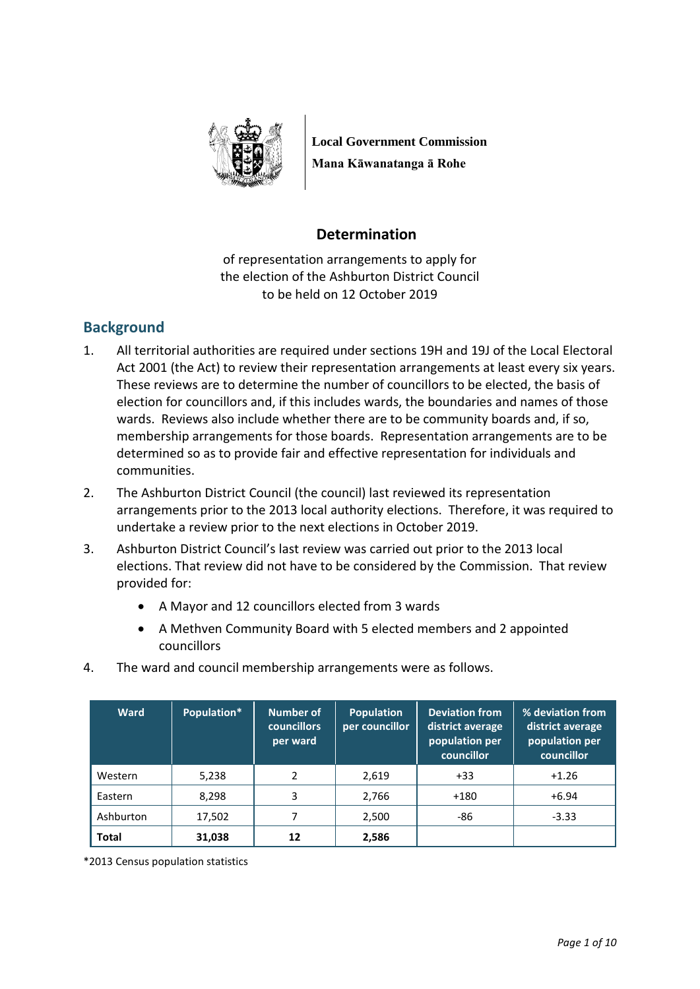

**Local Government Commission Mana Kāwanatanga ā Rohe**

# **Determination**

of representation arrangements to apply for the election of the Ashburton District Council to be held on 12 October 2019

## **Background**

- 1. All territorial authorities are required under sections 19H and 19J of the Local Electoral Act 2001 (the Act) to review their representation arrangements at least every six years. These reviews are to determine the number of councillors to be elected, the basis of election for councillors and, if this includes wards, the boundaries and names of those wards. Reviews also include whether there are to be community boards and, if so, membership arrangements for those boards. Representation arrangements are to be determined so as to provide fair and effective representation for individuals and communities.
- 2. The Ashburton District Council (the council) last reviewed its representation arrangements prior to the 2013 local authority elections. Therefore, it was required to undertake a review prior to the next elections in October 2019.
- 3. Ashburton District Council's last review was carried out prior to the 2013 local elections. That review did not have to be considered by the Commission. That review provided for:
	- A Mayor and 12 councillors elected from 3 wards
	- A Methven Community Board with 5 elected members and 2 appointed councillors

| <b>Ward</b>  | Population* | Number of<br><b>councillors</b><br>per ward | <b>Population</b><br>per councillor | <b>Deviation from</b><br>district average<br>population per<br>councillor | % deviation from<br>district average<br>population per<br>councillor |
|--------------|-------------|---------------------------------------------|-------------------------------------|---------------------------------------------------------------------------|----------------------------------------------------------------------|
| Western      | 5,238       | $\mathfrak z$                               | 2,619                               | $+33$                                                                     | $+1.26$                                                              |
| Eastern      | 8.298       | 3                                           | 2,766                               | $+180$                                                                    | $+6.94$                                                              |
| Ashburton    | 17,502      |                                             | 2,500                               | -86                                                                       | $-3.33$                                                              |
| <b>Total</b> | 31,038      | 12                                          | 2,586                               |                                                                           |                                                                      |

4. The ward and council membership arrangements were as follows.

\*2013 Census population statistics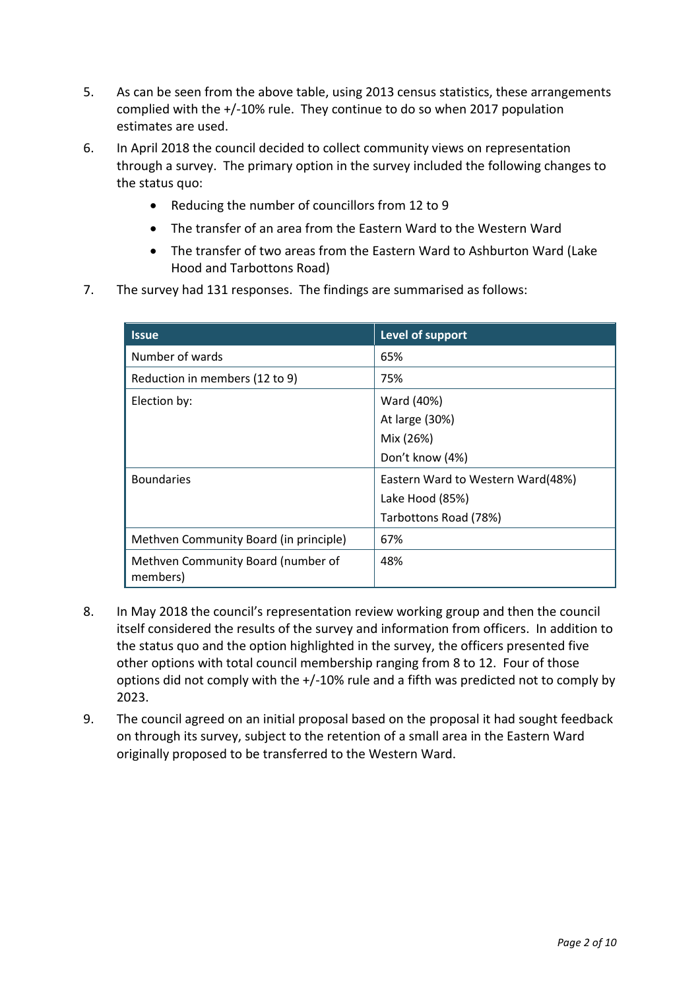- 5. As can be seen from the above table, using 2013 census statistics, these arrangements complied with the +/-10% rule. They continue to do so when 2017 population estimates are used.
- 6. In April 2018 the council decided to collect community views on representation through a survey. The primary option in the survey included the following changes to the status quo:
	- Reducing the number of councillors from 12 to 9
	- The transfer of an area from the Eastern Ward to the Western Ward
	- The transfer of two areas from the Eastern Ward to Ashburton Ward (Lake Hood and Tarbottons Road)
- 7. The survey had 131 responses. The findings are summarised as follows:

| <b>Issue</b>                                   | Level of support                  |
|------------------------------------------------|-----------------------------------|
| Number of wards                                | 65%                               |
| Reduction in members (12 to 9)                 | 75%                               |
| Election by:                                   | Ward (40%)                        |
|                                                | At large (30%)                    |
|                                                | Mix (26%)                         |
|                                                | Don't know (4%)                   |
| <b>Boundaries</b>                              | Eastern Ward to Western Ward(48%) |
|                                                | Lake Hood (85%)                   |
|                                                | Tarbottons Road (78%)             |
| Methven Community Board (in principle)         | 67%                               |
| Methven Community Board (number of<br>members) | 48%                               |

- 8. In May 2018 the council's representation review working group and then the council itself considered the results of the survey and information from officers. In addition to the status quo and the option highlighted in the survey, the officers presented five other options with total council membership ranging from 8 to 12. Four of those options did not comply with the +/-10% rule and a fifth was predicted not to comply by 2023.
- 9. The council agreed on an initial proposal based on the proposal it had sought feedback on through its survey, subject to the retention of a small area in the Eastern Ward originally proposed to be transferred to the Western Ward.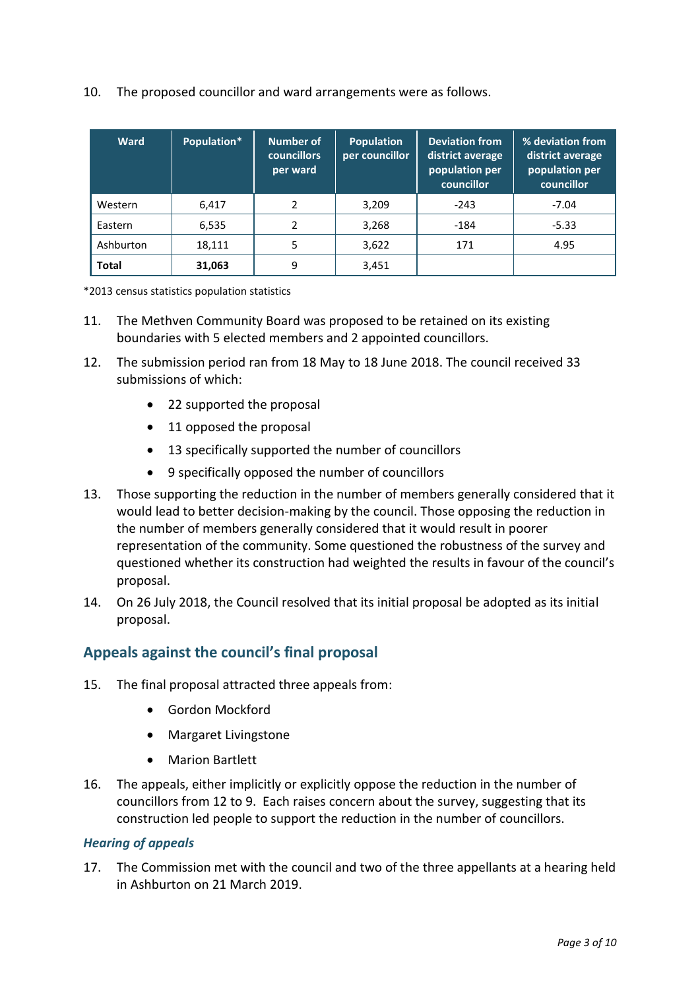| 10. | The proposed councillor and ward arrangements were as follows. |
|-----|----------------------------------------------------------------|
|-----|----------------------------------------------------------------|

| <b>Ward</b>  | Population* | Number of<br>councillors<br>per ward | <b>Population</b><br>per councillor | <b>Deviation from</b><br>district average<br>population per<br>councillor | % deviation from<br>district average<br>population per<br>councillor |
|--------------|-------------|--------------------------------------|-------------------------------------|---------------------------------------------------------------------------|----------------------------------------------------------------------|
| Western      | 6.417       | っ                                    | 3,209                               | $-243$                                                                    | $-7.04$                                                              |
| Eastern      | 6,535       | ∍                                    | 3,268                               | -184                                                                      | $-5.33$                                                              |
| Ashburton    | 18,111      | 5                                    | 3,622                               | 171                                                                       | 4.95                                                                 |
| <b>Total</b> | 31,063      | 9                                    | 3,451                               |                                                                           |                                                                      |

\*2013 census statistics population statistics

- 11. The Methven Community Board was proposed to be retained on its existing boundaries with 5 elected members and 2 appointed councillors.
- 12. The submission period ran from 18 May to 18 June 2018. The council received 33 submissions of which:
	- 22 supported the proposal
	- 11 opposed the proposal
	- 13 specifically supported the number of councillors
	- 9 specifically opposed the number of councillors
- 13. Those supporting the reduction in the number of members generally considered that it would lead to better decision-making by the council. Those opposing the reduction in the number of members generally considered that it would result in poorer representation of the community. Some questioned the robustness of the survey and questioned whether its construction had weighted the results in favour of the council's proposal.
- 14. On 26 July 2018, the Council resolved that its initial proposal be adopted as its initial proposal.

### **Appeals against the council's final proposal**

- 15. The final proposal attracted three appeals from:
	- Gordon Mockford
	- Margaret Livingstone
	- Marion Bartlett
- 16. The appeals, either implicitly or explicitly oppose the reduction in the number of councillors from 12 to 9. Each raises concern about the survey, suggesting that its construction led people to support the reduction in the number of councillors.

### *Hearing of appeals*

17. The Commission met with the council and two of the three appellants at a hearing held in Ashburton on 21 March 2019.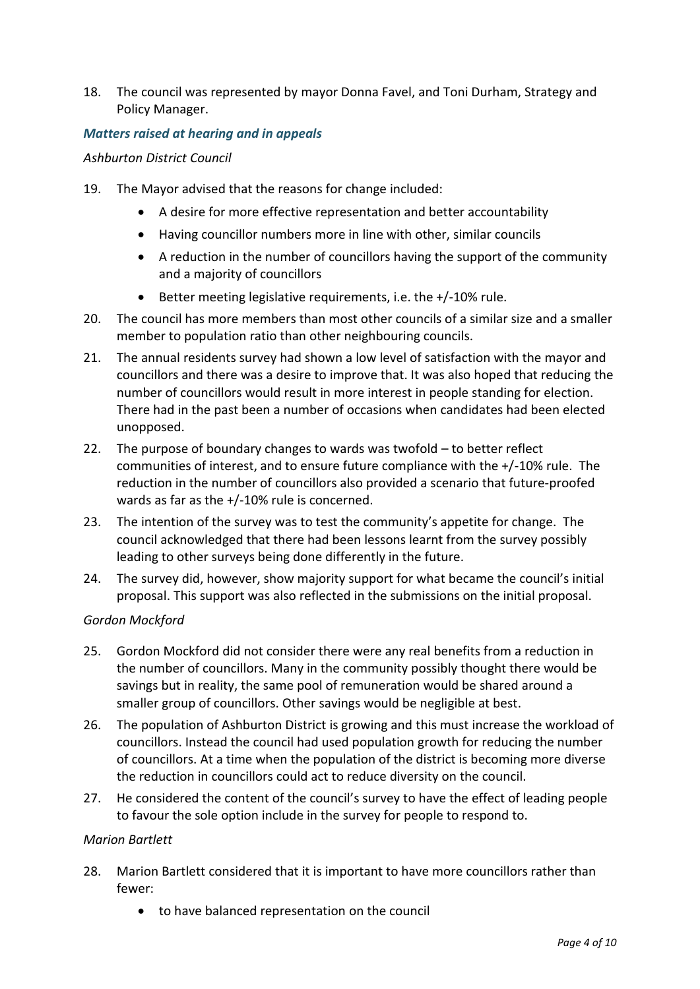18. The council was represented by mayor Donna Favel, and Toni Durham, Strategy and Policy Manager.

### *Matters raised at hearing and in appeals*

#### *Ashburton District Council*

- 19. The Mayor advised that the reasons for change included:
	- A desire for more effective representation and better accountability
	- Having councillor numbers more in line with other, similar councils
	- A reduction in the number of councillors having the support of the community and a majority of councillors
	- Better meeting legislative requirements, i.e. the +/-10% rule.
- 20. The council has more members than most other councils of a similar size and a smaller member to population ratio than other neighbouring councils.
- 21. The annual residents survey had shown a low level of satisfaction with the mayor and councillors and there was a desire to improve that. It was also hoped that reducing the number of councillors would result in more interest in people standing for election. There had in the past been a number of occasions when candidates had been elected unopposed.
- 22. The purpose of boundary changes to wards was twofold to better reflect communities of interest, and to ensure future compliance with the +/-10% rule. The reduction in the number of councillors also provided a scenario that future-proofed wards as far as the +/-10% rule is concerned.
- 23. The intention of the survey was to test the community's appetite for change. The council acknowledged that there had been lessons learnt from the survey possibly leading to other surveys being done differently in the future.
- 24. The survey did, however, show majority support for what became the council's initial proposal. This support was also reflected in the submissions on the initial proposal.

### *Gordon Mockford*

- 25. Gordon Mockford did not consider there were any real benefits from a reduction in the number of councillors. Many in the community possibly thought there would be savings but in reality, the same pool of remuneration would be shared around a smaller group of councillors. Other savings would be negligible at best.
- 26. The population of Ashburton District is growing and this must increase the workload of councillors. Instead the council had used population growth for reducing the number of councillors. At a time when the population of the district is becoming more diverse the reduction in councillors could act to reduce diversity on the council.
- 27. He considered the content of the council's survey to have the effect of leading people to favour the sole option include in the survey for people to respond to.

### *Marion Bartlett*

- 28. Marion Bartlett considered that it is important to have more councillors rather than fewer:
	- to have balanced representation on the council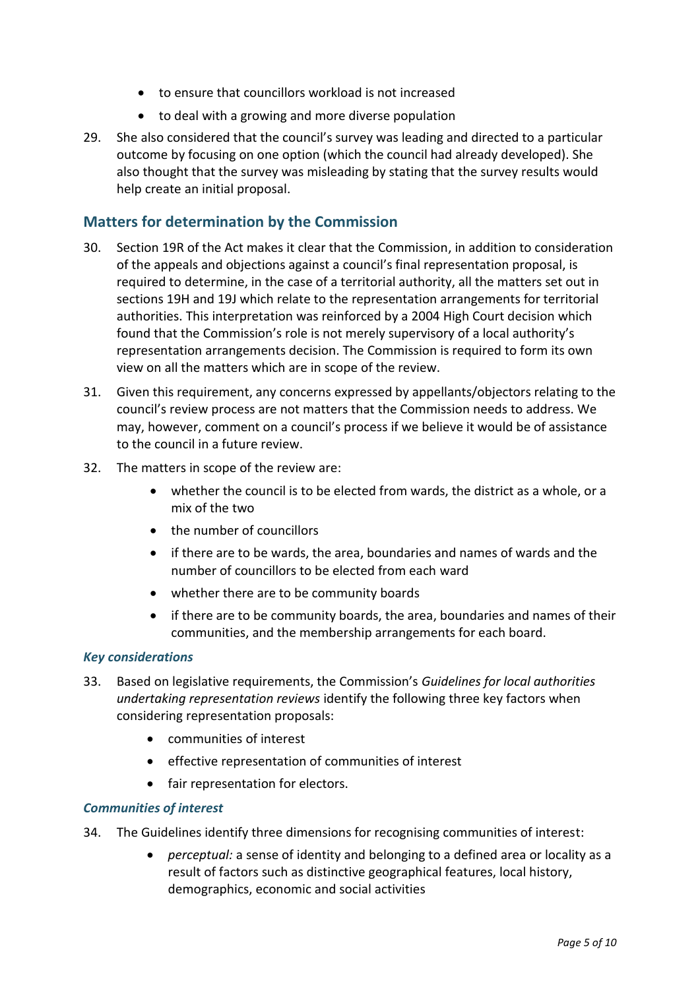- to ensure that councillors workload is not increased
- to deal with a growing and more diverse population
- 29. She also considered that the council's survey was leading and directed to a particular outcome by focusing on one option (which the council had already developed). She also thought that the survey was misleading by stating that the survey results would help create an initial proposal.

### **Matters for determination by the Commission**

- 30. Section 19R of the Act makes it clear that the Commission, in addition to consideration of the appeals and objections against a council's final representation proposal, is required to determine, in the case of a territorial authority, all the matters set out in sections 19H and 19J which relate to the representation arrangements for territorial authorities. This interpretation was reinforced by a 2004 High Court decision which found that the Commission's role is not merely supervisory of a local authority's representation arrangements decision. The Commission is required to form its own view on all the matters which are in scope of the review.
- 31. Given this requirement, any concerns expressed by appellants/objectors relating to the council's review process are not matters that the Commission needs to address. We may, however, comment on a council's process if we believe it would be of assistance to the council in a future review.
- 32. The matters in scope of the review are:
	- whether the council is to be elected from wards, the district as a whole, or a mix of the two
	- the number of councillors
	- if there are to be wards, the area, boundaries and names of wards and the number of councillors to be elected from each ward
	- whether there are to be community boards
	- if there are to be community boards, the area, boundaries and names of their communities, and the membership arrangements for each board.

#### *Key considerations*

- 33. Based on legislative requirements, the Commission's *Guidelines for local authorities undertaking representation reviews* identify the following three key factors when considering representation proposals:
	- communities of interest
	- effective representation of communities of interest
	- fair representation for electors.

### *Communities of interest*

- 34. The Guidelines identify three dimensions for recognising communities of interest:
	- *perceptual:* a sense of identity and belonging to a defined area or locality as a result of factors such as distinctive geographical features, local history, demographics, economic and social activities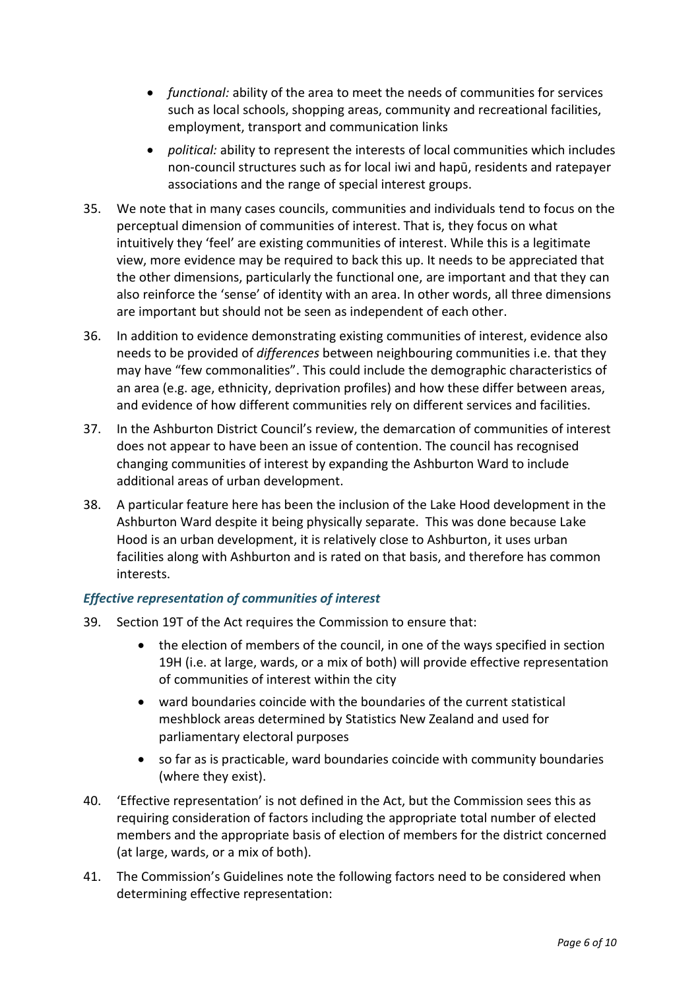- *functional:* ability of the area to meet the needs of communities for services such as local schools, shopping areas, community and recreational facilities, employment, transport and communication links
- *political:* ability to represent the interests of local communities which includes non-council structures such as for local iwi and hapū, residents and ratepayer associations and the range of special interest groups.
- 35. We note that in many cases councils, communities and individuals tend to focus on the perceptual dimension of communities of interest. That is, they focus on what intuitively they 'feel' are existing communities of interest. While this is a legitimate view, more evidence may be required to back this up. It needs to be appreciated that the other dimensions, particularly the functional one, are important and that they can also reinforce the 'sense' of identity with an area. In other words, all three dimensions are important but should not be seen as independent of each other.
- 36. In addition to evidence demonstrating existing communities of interest, evidence also needs to be provided of *differences* between neighbouring communities i.e. that they may have "few commonalities". This could include the demographic characteristics of an area (e.g. age, ethnicity, deprivation profiles) and how these differ between areas, and evidence of how different communities rely on different services and facilities.
- 37. In the Ashburton District Council's review, the demarcation of communities of interest does not appear to have been an issue of contention. The council has recognised changing communities of interest by expanding the Ashburton Ward to include additional areas of urban development.
- 38. A particular feature here has been the inclusion of the Lake Hood development in the Ashburton Ward despite it being physically separate. This was done because Lake Hood is an urban development, it is relatively close to Ashburton, it uses urban facilities along with Ashburton and is rated on that basis, and therefore has common interests.

### *Effective representation of communities of interest*

- 39. Section 19T of the Act requires the Commission to ensure that:
	- the election of members of the council, in one of the ways specified in section 19H (i.e. at large, wards, or a mix of both) will provide effective representation of communities of interest within the city
	- ward boundaries coincide with the boundaries of the current statistical meshblock areas determined by Statistics New Zealand and used for parliamentary electoral purposes
	- so far as is practicable, ward boundaries coincide with community boundaries (where they exist).
- 40. 'Effective representation' is not defined in the Act, but the Commission sees this as requiring consideration of factors including the appropriate total number of elected members and the appropriate basis of election of members for the district concerned (at large, wards, or a mix of both).
- 41. The Commission's Guidelines note the following factors need to be considered when determining effective representation: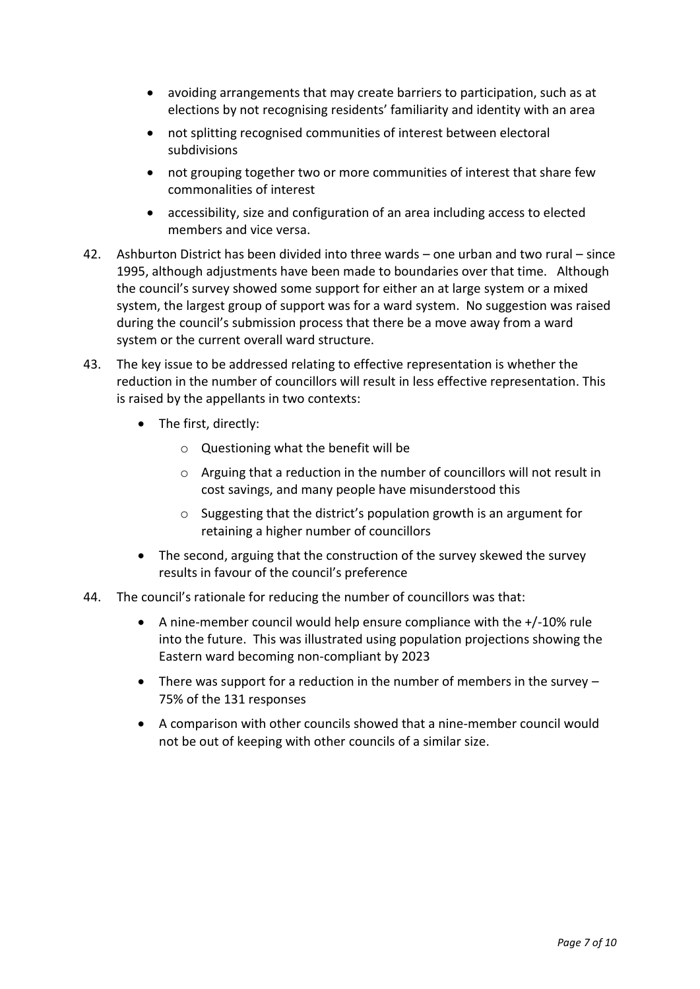- avoiding arrangements that may create barriers to participation, such as at elections by not recognising residents' familiarity and identity with an area
- not splitting recognised communities of interest between electoral subdivisions
- not grouping together two or more communities of interest that share few commonalities of interest
- accessibility, size and configuration of an area including access to elected members and vice versa.
- 42. Ashburton District has been divided into three wards one urban and two rural since 1995, although adjustments have been made to boundaries over that time. Although the council's survey showed some support for either an at large system or a mixed system, the largest group of support was for a ward system. No suggestion was raised during the council's submission process that there be a move away from a ward system or the current overall ward structure.
- 43. The key issue to be addressed relating to effective representation is whether the reduction in the number of councillors will result in less effective representation. This is raised by the appellants in two contexts:
	- The first, directly:
		- o Questioning what the benefit will be
		- o Arguing that a reduction in the number of councillors will not result in cost savings, and many people have misunderstood this
		- o Suggesting that the district's population growth is an argument for retaining a higher number of councillors
	- The second, arguing that the construction of the survey skewed the survey results in favour of the council's preference
- 44. The council's rationale for reducing the number of councillors was that:
	- A nine-member council would help ensure compliance with the +/-10% rule into the future. This was illustrated using population projections showing the Eastern ward becoming non-compliant by 2023
	- There was support for a reduction in the number of members in the survey  $-$ 75% of the 131 responses
	- A comparison with other councils showed that a nine-member council would not be out of keeping with other councils of a similar size.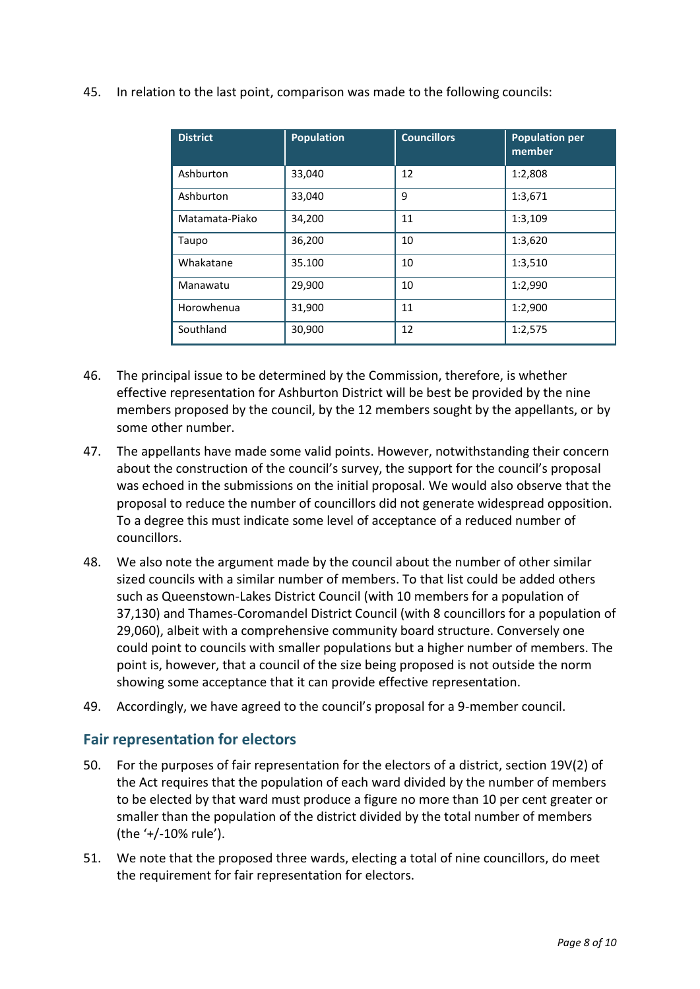| <b>District</b> | <b>Population</b> | <b>Councillors</b> | <b>Population per</b><br>member |
|-----------------|-------------------|--------------------|---------------------------------|
| Ashburton       | 33,040            | 12                 | 1:2,808                         |
| Ashburton       | 33,040            | 9                  | 1:3,671                         |
| Matamata-Piako  | 34,200            | 11                 | 1:3,109                         |
| Taupo           | 36,200            | 10                 | 1:3,620                         |
| Whakatane       | 35.100            | 10                 | 1:3,510                         |
| Manawatu        | 29,900            | 10                 | 1:2,990                         |
| Horowhenua      | 31,900            | 11                 | 1:2,900                         |
| Southland       | 30,900            | 12                 | 1:2,575                         |

45. In relation to the last point, comparison was made to the following councils:

- 46. The principal issue to be determined by the Commission, therefore, is whether effective representation for Ashburton District will be best be provided by the nine members proposed by the council, by the 12 members sought by the appellants, or by some other number.
- 47. The appellants have made some valid points. However, notwithstanding their concern about the construction of the council's survey, the support for the council's proposal was echoed in the submissions on the initial proposal. We would also observe that the proposal to reduce the number of councillors did not generate widespread opposition. To a degree this must indicate some level of acceptance of a reduced number of councillors.
- 48. We also note the argument made by the council about the number of other similar sized councils with a similar number of members. To that list could be added others such as Queenstown-Lakes District Council (with 10 members for a population of 37,130) and Thames-Coromandel District Council (with 8 councillors for a population of 29,060), albeit with a comprehensive community board structure. Conversely one could point to councils with smaller populations but a higher number of members. The point is, however, that a council of the size being proposed is not outside the norm showing some acceptance that it can provide effective representation.
- 49. Accordingly, we have agreed to the council's proposal for a 9-member council.

### **Fair representation for electors**

- 50. For the purposes of fair representation for the electors of a district, section 19V(2) of the Act requires that the population of each ward divided by the number of members to be elected by that ward must produce a figure no more than 10 per cent greater or smaller than the population of the district divided by the total number of members (the '+/-10% rule').
- 51. We note that the proposed three wards, electing a total of nine councillors, do meet the requirement for fair representation for electors.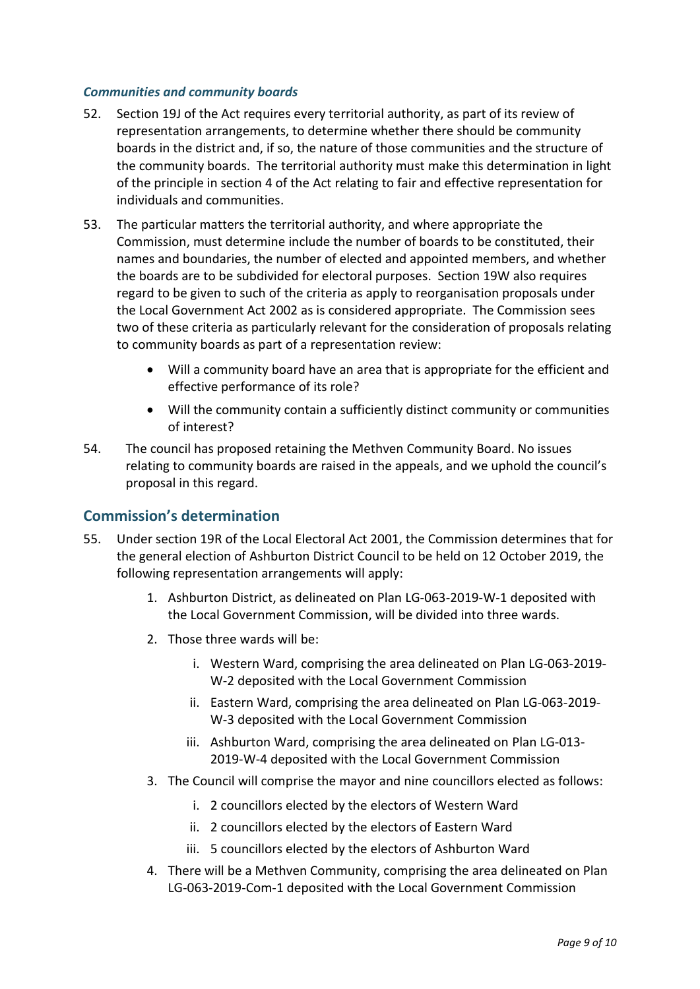### *Communities and community boards*

- 52. Section 19J of the Act requires every territorial authority, as part of its review of representation arrangements, to determine whether there should be community boards in the district and, if so, the nature of those communities and the structure of the community boards. The territorial authority must make this determination in light of the principle in section 4 of the Act relating to fair and effective representation for individuals and communities.
- 53. The particular matters the territorial authority, and where appropriate the Commission, must determine include the number of boards to be constituted, their names and boundaries, the number of elected and appointed members, and whether the boards are to be subdivided for electoral purposes. Section 19W also requires regard to be given to such of the criteria as apply to reorganisation proposals under the Local Government Act 2002 as is considered appropriate. The Commission sees two of these criteria as particularly relevant for the consideration of proposals relating to community boards as part of a representation review:
	- Will a community board have an area that is appropriate for the efficient and effective performance of its role?
	- Will the community contain a sufficiently distinct community or communities of interest?
- 54. The council has proposed retaining the Methven Community Board. No issues relating to community boards are raised in the appeals, and we uphold the council's proposal in this regard.

### **Commission's determination**

- 55. Under section 19R of the Local Electoral Act 2001, the Commission determines that for the general election of Ashburton District Council to be held on 12 October 2019, the following representation arrangements will apply:
	- 1. Ashburton District, as delineated on Plan LG-063-2019-W-1 deposited with the Local Government Commission, will be divided into three wards.
	- 2. Those three wards will be:
		- i. Western Ward, comprising the area delineated on Plan LG-063-2019- W-2 deposited with the Local Government Commission
		- ii. Eastern Ward, comprising the area delineated on Plan LG-063-2019- W-3 deposited with the Local Government Commission
		- iii. Ashburton Ward, comprising the area delineated on Plan LG-013- 2019-W-4 deposited with the Local Government Commission
	- 3. The Council will comprise the mayor and nine councillors elected as follows:
		- i. 2 councillors elected by the electors of Western Ward
		- ii. 2 councillors elected by the electors of Eastern Ward
		- iii. 5 councillors elected by the electors of Ashburton Ward
	- 4. There will be a Methven Community, comprising the area delineated on Plan LG-063-2019-Com-1 deposited with the Local Government Commission